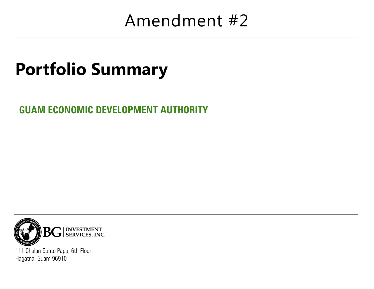## Amendment #2

# Portfolio Summary

**GUAM ECONOMIC DEVELOPMENT AUTHORITY**



111 Chalan Santo Papa, 6th Floor Hagatna, Guam 96910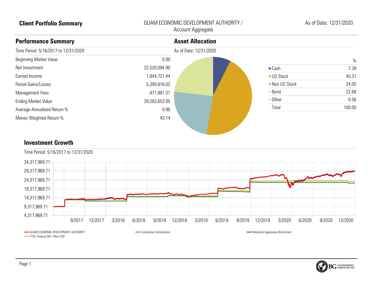### **Client Portfolio Summary** GUAM ECONOMIC DEVELOPMENT AUTHORITY / Account Aggregate

### **Performance Summary** Time Period: 5/16/2017 to 12/31/2020 Beginning Market Value Net Investment Earned Income Period Gains/Losses Management Fees Ending Market Value Average Annualized Return % Money Weighted Return % 0.00 22,520,094.90 1,844,721.44 5,390,818.02 -471,981.31 29,283,653.05 9.96 43.14 **Asset Allocation** As of Date: 12/31/2020  $\%$ Cash 7.39 ● US Stock 45.31 ■ Non US Stock 24.05 ● Bond 22.68 Other 0.56 Total 100.00

### **Investment Growth**



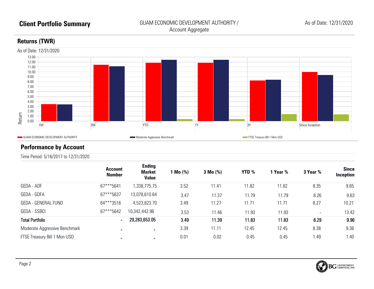### **Returns (TWR)**



### **Performance by Account**

Time Period: 5/16/2017 to 12/31/2020

|                               | <b>Account</b><br><b>Number</b> | <b>Ending</b><br><b>Market</b><br><b>Value</b> | 1 Mo (%) | $3 \text{ Mo } (\% )$ | YTD % | 1 Year % | 3 Year % | <b>Since</b><br>Inception |
|-------------------------------|---------------------------------|------------------------------------------------|----------|-----------------------|-------|----------|----------|---------------------------|
| GEDA - ADF                    | 67***5641                       | 1,338,775.75                                   | 3.52     | 11.41                 | 11.82 | 11.82    | 8.35     | 9.65                      |
| GEDA - GDFA                   | 67***5637                       | 13,078,610.64                                  | 3.47     | 11.37                 | 11.79 | 11.79    | 8.26     | 9.63                      |
| <b>GEDA - GENERAL FUND</b>    | 64***3516                       | 4,523,823.70                                   | 3.49     | 11.27                 | 11.71 | 11.71    | 8.27     | 10.21                     |
| <b>GEDA - SSBCI</b>           | 67***5642                       | 10,342,442.96                                  | 3.53     | 11.46                 | 11.93 | 11.93    |          | 13.42                     |
| <b>Total Portfolio</b>        | $\blacksquare$                  | 29,283,653.05                                  | 3.49     | 11.39                 | 11.83 | 11.83    | 8.29     | 9.96                      |
| Moderate Aggressive Benchmark | $\blacksquare$                  | ж.                                             | 3.39     | 11.11                 | 12.45 | 12.45    | 8.38     | 9.36                      |
| FTSE Treasury Bill 1 Mon USD  | $\blacksquare$                  | ۰.                                             | 0.01     | 0.02                  | 0.45  | 0.45     | 1.49     | 1.40                      |

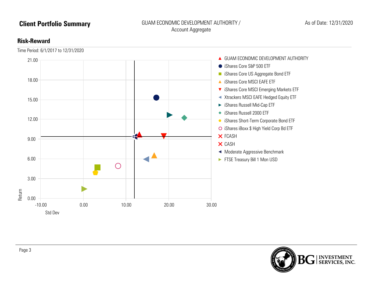### **Client Portfolio Summary GUAM ECONOMIC DEVELOPMENT AUTHORITY** / Account Aggregate

### **Risk-Reward**



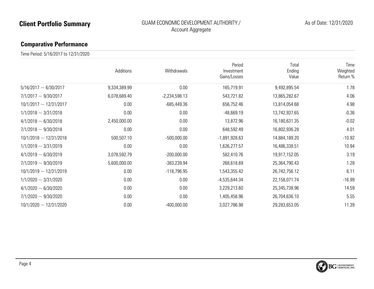### **Client Portfolio Summary GUAM ECONOMIC DEVELOPMENT AUTHORITY** / Account Aggregate

### **Comparative Performance**

Time Period: 5/16/2017 to 12/31/2020

|                             | <b>Additions</b> | Withdrawals     | Period<br>Investment<br>Gains/Losses | Total<br>Ending<br>Value | Time<br>Weighted<br>Return % |
|-----------------------------|------------------|-----------------|--------------------------------------|--------------------------|------------------------------|
| $5/16/2017 \sim 6/30/2017$  | 9,334,389.99     | 0.00            | 165,719.91                           | 9,492,895.54             | 1.78                         |
| $7/1/2017 \sim 9/30/2017$   | 6,078,689.40     | $-2,234,598.13$ | 543,721.82                           | 13,865,282.67            | 4.06                         |
| $10/1/2017 \sim 12/31/2017$ | 0.00             | $-685,449.36$   | 656,752.46                           | 13,814,054.68            | 4.98                         |
| $1/1/2018 \sim 3/31/2018$   | 0.00             | 0.00            | $-48,669.19$                         | 13,742,937.65            | $-0.36$                      |
| $4/1/2018 \sim 6/30/2018$   | 2,450,000.00     | 0.00            | 13,872.96                            | 16,180,631.35            | $-0.02$                      |
| $7/1/2018 \sim 9/30/2018$   | 0.00             | 0.00            | 648,592.49                           | 16,802,936.28            | 4.01                         |
| $10/1/2018 \sim 12/31/2018$ | 500,507.10       | $-500,000.00$   | $-1,891,928.63$                      | 14,884,189.20            | $-10.92$                     |
| $1/1/2019 \sim 3/31/2019$   | 0.00             | 0.00            | 1,626,277.57                         | 16,486,338.51            | 10.94                        |
| $4/1/2019 \sim 6/30/2019$   | 3,078,592.79     | $-200,000.00$   | 582,410.76                           | 19,917,152.05            | 3.19                         |
| $7/1/2019 \sim 9/30/2019$   | 5,600,000.00     | -383,239.94     | 268,618.69                           | 25,364,790.43            | 1.28                         |
| $10/1/2019 \sim 12/31/2019$ | 0.00             | $-118,796.95$   | 1,543,355.42                         | 26,742,756.12            | 6.11                         |
| $1/1/2020 \sim 3/31/2020$   | 0.00             | 0.00            | -4,535,644.34                        | 22,158,071.74            | $-16.99$                     |
| $4/1/2020 \sim 6/30/2020$   | 0.00             | 0.00            | 3,229,213.60                         | 25,345,738.96            | 14.59                        |
| $7/1/2020 \sim 9/30/2020$   | 0.00             | 0.00            | 1,405,458.96                         | 26,704,636.10            | 5.55                         |
| $10/1/2020 \sim 12/31/2020$ | 0.00             | $-400,000.00$   | 3,027,786.98                         | 29,283,653.05            | 11.39                        |

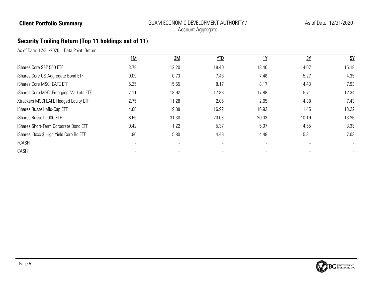### **Client Portfolio Summary Client Portfolio Summary** GUAM ECONOMIC DEVELOPMENT AUTHORITY / Account Aggregate

### **Security Trailing Return (Top 11 holdings out of 11)**

| 1M   | 3M    | YTD                      | <b>1Y</b>                | 3Y    | 5Y                       |
|------|-------|--------------------------|--------------------------|-------|--------------------------|
| 3.78 | 12.20 | 18.40                    | 18.40                    | 14.07 | 15.18                    |
| 0.09 | 0.73  | 7.48                     | 7.48                     | 5.27  | 4.35                     |
| 5.25 | 15.65 | 8.17                     | 8.17                     | 4.43  | 7.93                     |
| 7.11 | 18.92 | 17.88                    | 17.88                    | 5.71  | 12.34                    |
| 2.75 | 11.28 | 2.05                     | 2.05                     | 4.88  | 7.43                     |
| 4.68 | 19.88 | 16.92                    | 16.92                    | 11.45 | 13.22                    |
| 8.65 | 31.30 | 20.03                    | 20.03                    | 10.19 | 13.26                    |
| 0.42 | 1.22  | 5.37                     | 5.37                     | 4.55  | 3.33                     |
| 1.96 | 5.80  | 4.48                     | 4.48                     | 5.31  | 7.03                     |
|      | -     | $\overline{\phantom{a}}$ | $\overline{\phantom{a}}$ |       | $\overline{\phantom{a}}$ |
|      |       |                          |                          |       | $\overline{\phantom{a}}$ |
|      |       |                          |                          |       |                          |

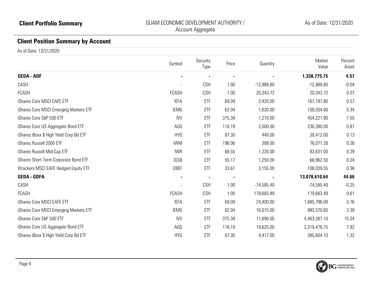### **Client Position Summary by Account**

As of Date: 12/31/2020

|                                         | Symbol                   | Security<br>Type | Price  | Quantity     | Market<br>Value | Percent<br>Asset |
|-----------------------------------------|--------------------------|------------------|--------|--------------|-----------------|------------------|
| <b>GEDA - ADF</b>                       |                          |                  |        |              | 1,338,775.75    | 4.57             |
| CASH                                    |                          | <b>CSH</b>       | 1.00   | $-12,988.80$ | $-12,988.80$    | $-0.04$          |
| FCASH                                   | <b>FCASH</b>             | <b>CSH</b>       | 1.00   | 20,343.72    | 20,343.72       | 0.07             |
| iShares Core MSCI EAFE ETF              | <b>IEFA</b>              | ETF              | 69.09  | 2,420.00     | 167,197.80      | 0.57             |
| iShares Core MSCI Emerging Markets ETF  | <b>IEMG</b>              | ETF              | 62.04  | 1,620.00     | 100,504.80      | 0.34             |
| iShares Core S&P 500 ETF                | <b>IVV</b>               | ETF              | 375.39 | 1,210.00     | 454,221.90      | 1.55             |
| iShares Core US Aggregate Bond ETF      | AGG                      | ETF              | 118.19 | 2,000.00     | 236,380.00      | 0.81             |
| iShares iBoxx \$ High Yield Corp Bd ETF | <b>HYG</b>               | ETF              | 87.30  | 440.00       | 38,412.00       | 0.13             |
| iShares Russell 2000 ETF                | <b>IWM</b>               | ETF              | 196.06 | 388.00       | 76,071.28       | 0.26             |
| iShares Russell Mid-Cap ETF             | <b>IWR</b>               | ETF              | 68.55  | 1,220.00     | 83,631.00       | 0.29             |
| iShares Short-Term Corporate Bond ETF   | <b>IGSB</b>              | ETF              | 55.17  | 1,250.00     | 68,962.50       | 0.24             |
| Xtrackers MSCI EAFE Hedged Equity ETF   | <b>DBEF</b>              | ETF              | 33.61  | 3,155.00     | 106,039.55      | 0.36             |
| <b>GEDA - GDFA</b>                      | $\blacksquare$           |                  |        |              | 13,078,610.64   | 44.66            |
| CASH                                    | $\overline{\phantom{a}}$ | <b>CSH</b>       | 1.00   | $-74,585.40$ | $-74,585.40$    | $-0.25$          |
| <b>FCASH</b>                            | <b>FCASH</b>             | <b>CSH</b>       | 1.00   | 179,683.49   | 179,683.49      | 0.61             |
| iShares Core MSCI EAFE ETF              | <b>IEFA</b>              | ETF              | 69.09  | 24,400.00    | 1,685,796.00    | 5.76             |
| iShares Core MSCI Emerging Markets ETF  | <b>IEMG</b>              | ETF              | 62.04  | 16,015.00    | 993,570.60      | 3.39             |
| iShares Core S&P 500 ETF                | <b>IVV</b>               | ETF              | 375.39 | 11,890.00    | 4,463,387.10    | 15.24            |
| iShares Core US Aggregate Bond ETF      | AGG                      | ETF              | 118.19 | 19,625.00    | 2,319,478.75    | 7.92             |
| iShares iBoxx \$ High Yield Corp Bd ETF | <b>HYG</b>               | ETF              | 87.30  | 4,417.00     | 385,604.10      | 1.32             |

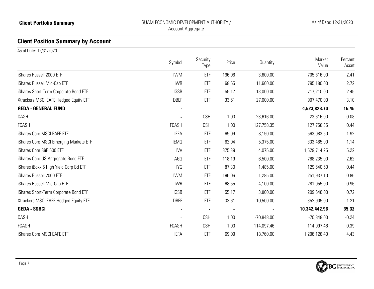## **Client Position Summary by Account**

As of Date: 12/31/2020

|                                         | Symbol         | Security<br>Type | Price  | Quantity     | Market<br>Value | Percent<br>Asset |
|-----------------------------------------|----------------|------------------|--------|--------------|-----------------|------------------|
| iShares Russell 2000 ETF                | <b>IWM</b>     | ETF              | 196.06 | 3,600.00     | 705,816.00      | 2.41             |
| iShares Russell Mid-Cap ETF             | <b>IWR</b>     | ETF              | 68.55  | 11,600.00    | 795,180.00      | 2.72             |
| iShares Short-Term Corporate Bond ETF   | <b>IGSB</b>    | ETF              | 55.17  | 13,000.00    | 717,210.00      | 2.45             |
| Xtrackers MSCI EAFE Hedged Equity ETF   | <b>DBEF</b>    | ETF              | 33.61  | 27,000.00    | 907,470.00      | 3.10             |
| <b>GEDA - GENERAL FUND</b>              |                |                  |        |              | 4,523,823.70    | 15.45            |
| CASH                                    |                | <b>CSH</b>       | 1.00   | $-23,616.00$ | $-23,616.00$    | $-0.08$          |
| <b>FCASH</b>                            | <b>FCASH</b>   | <b>CSH</b>       | 1.00   | 127,758.35   | 127,758.35      | 0.44             |
| iShares Core MSCI EAFE ETF              | <b>IEFA</b>    | ETF              | 69.09  | 8,150.00     | 563,083.50      | 1.92             |
| iShares Core MSCI Emerging Markets ETF  | <b>IEMG</b>    | ETF              | 62.04  | 5,375.00     | 333,465.00      | 1.14             |
| iShares Core S&P 500 ETF                | <b>IVV</b>     | ETF              | 375.39 | 4,075.00     | 1,529,714.25    | 5.22             |
| iShares Core US Aggregate Bond ETF      | AGG            | ETF              | 118.19 | 6,500.00     | 768,235.00      | 2.62             |
| iShares iBoxx \$ High Yield Corp Bd ETF | <b>HYG</b>     | ETF              | 87.30  | 1,485.00     | 129,640.50      | 0.44             |
| iShares Russell 2000 ETF                | <b>IWM</b>     | ETF              | 196.06 | 1,285.00     | 251,937.10      | 0.86             |
| iShares Russell Mid-Cap ETF             | <b>IWR</b>     | ETF              | 68.55  | 4,100.00     | 281,055.00      | 0.96             |
| iShares Short-Term Corporate Bond ETF   | <b>IGSB</b>    | ETF              | 55.17  | 3,800.00     | 209,646.00      | 0.72             |
| Xtrackers MSCI EAFE Hedged Equity ETF   | <b>DBEF</b>    | ETF              | 33.61  | 10,500.00    | 352,905.00      | 1.21             |
| <b>GEDA - SSBCI</b>                     | $\blacksquare$ |                  |        |              | 10,342,442.96   | 35.32            |
| CASH                                    |                | <b>CSH</b>       | 1.00   | $-70,848.00$ | $-70,848.00$    | $-0.24$          |
| <b>FCASH</b>                            | <b>FCASH</b>   | <b>CSH</b>       | 1.00   | 114,097.46   | 114,097.46      | 0.39             |
| iShares Core MSCI EAFE ETF              | <b>IEFA</b>    | ETF              | 69.09  | 18,760.00    | 1,296,128.40    | 4.43             |

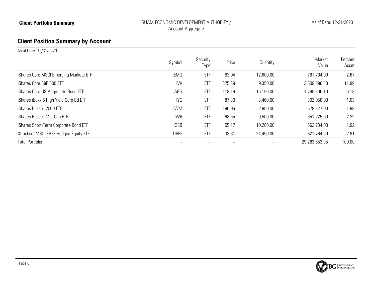## **Client Position Summary by Account**

As of Date: 12/31/2020

|                                         | Symbol      | Security<br>Type | Price  | Quantity  | Market<br>Value | Percent<br>Asset |
|-----------------------------------------|-------------|------------------|--------|-----------|-----------------|------------------|
| iShares Core MSCI Emerging Markets ETF  | IEMG        | ETF              | 62.04  | 12,600.00 | 781,704.00      | 2.67             |
| iShares Core S&P 500 ETF                | <b>IW</b>   | ETF              | 375.39 | 9,350.00  | 3,509,896.50    | 11.99            |
| iShares Core US Aggregate Bond ETF      | AGG         | ETF              | 118.19 | 15,190.00 | 1,795,306.10    | 6.13             |
| iShares iBoxx \$ High Yield Corp Bd ETF | <b>HYG</b>  | ETF              | 87.30  | 3,460.00  | 302,058.00      | 1.03             |
| iShares Russell 2000 ETF                | <b>IWM</b>  | ETF              | 196.06 | 2,950.00  | 578,377.00      | 1.98             |
| iShares Russell Mid-Cap ETF             | <b>IWR</b>  | ETF              | 68.55  | 9,500.00  | 651,225.00      | 2.22             |
| iShares Short-Term Corporate Bond ETF   | <b>IGSB</b> | ETF              | 55.17  | 10,200.00 | 562,734.00      | 1.92             |
| Xtrackers MSCI EAFE Hedged Equity ETF   | <b>DBEF</b> | ETF              | 33.61  | 24,450.00 | 821,764.50      | 2.81             |
| <b>Total Portfolio</b>                  |             |                  |        |           | 29,283,653.05   | 100.00           |